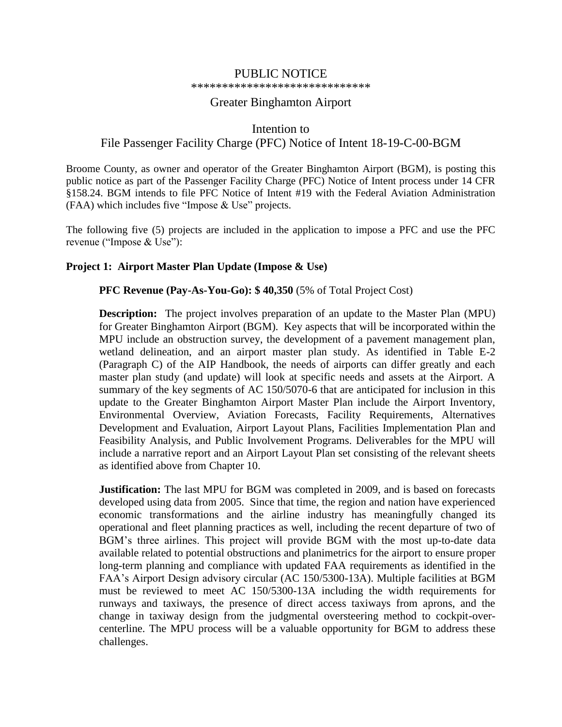# PUBLIC NOTICE

#### \*\*\*\*\*\*\*\*\*\*\*\*\*\*\*\*\*\*\*\*\*\*\*\*\*\*\*\*\*

### Greater Binghamton Airport

# Intention to File Passenger Facility Charge (PFC) Notice of Intent 18-19-C-00-BGM

Broome County, as owner and operator of the Greater Binghamton Airport (BGM), is posting this public notice as part of the Passenger Facility Charge (PFC) Notice of Intent process under 14 CFR §158.24. BGM intends to file PFC Notice of Intent #19 with the Federal Aviation Administration (FAA) which includes five "Impose & Use" projects.

The following five (5) projects are included in the application to impose a PFC and use the PFC revenue ("Impose & Use"):

#### **Project 1: Airport Master Plan Update (Impose & Use)**

#### **PFC Revenue (Pay-As-You-Go): \$ 40,350** (5% of Total Project Cost)

**Description:** The project involves preparation of an update to the Master Plan (MPU) for Greater Binghamton Airport (BGM). Key aspects that will be incorporated within the MPU include an obstruction survey, the development of a pavement management plan, wetland delineation, and an airport master plan study. As identified in Table E-2 (Paragraph C) of the AIP Handbook, the needs of airports can differ greatly and each master plan study (and update) will look at specific needs and assets at the Airport. A summary of the key segments of AC 150/5070-6 that are anticipated for inclusion in this update to the Greater Binghamton Airport Master Plan include the Airport Inventory, Environmental Overview, Aviation Forecasts, Facility Requirements, Alternatives Development and Evaluation, Airport Layout Plans, Facilities Implementation Plan and Feasibility Analysis, and Public Involvement Programs. Deliverables for the MPU will include a narrative report and an Airport Layout Plan set consisting of the relevant sheets as identified above from Chapter 10.

**Justification:** The last MPU for BGM was completed in 2009, and is based on forecasts developed using data from 2005. Since that time, the region and nation have experienced economic transformations and the airline industry has meaningfully changed its operational and fleet planning practices as well, including the recent departure of two of BGM's three airlines. This project will provide BGM with the most up-to-date data available related to potential obstructions and planimetrics for the airport to ensure proper long-term planning and compliance with updated FAA requirements as identified in the FAA's Airport Design advisory circular (AC 150/5300-13A). Multiple facilities at BGM must be reviewed to meet AC 150/5300-13A including the width requirements for runways and taxiways, the presence of direct access taxiways from aprons, and the change in taxiway design from the judgmental oversteering method to cockpit-overcenterline. The MPU process will be a valuable opportunity for BGM to address these challenges.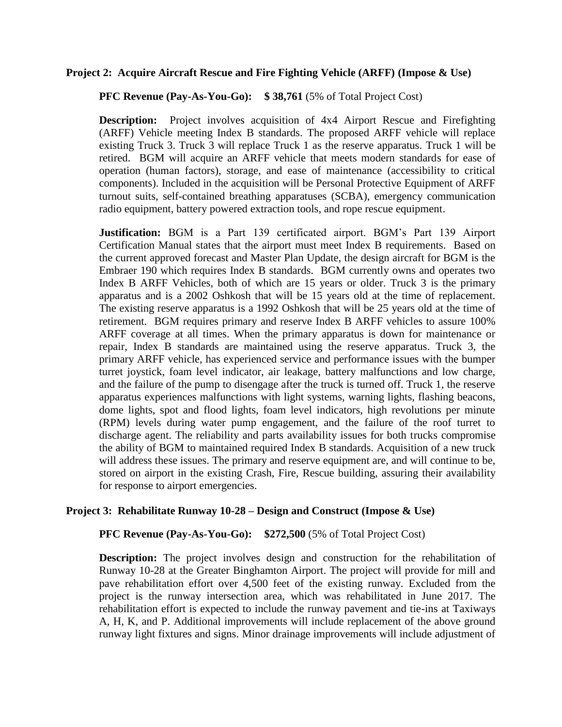#### **Project 2: Acquire Aircraft Rescue and Fire Fighting Vehicle (ARFF) (Impose & Use)**

**PFC Revenue (Pay-As-You-Go): \$ 38,761** (5% of Total Project Cost)

**Description:** Project involves acquisition of 4x4 Airport Rescue and Firefighting (ARFF) Vehicle meeting Index B standards. The proposed ARFF vehicle will replace existing Truck 3. Truck 3 will replace Truck 1 as the reserve apparatus. Truck 1 will be retired. BGM will acquire an ARFF vehicle that meets modern standards for ease of operation (human factors), storage, and ease of maintenance (accessibility to critical components). Included in the acquisition will be Personal Protective Equipment of ARFF turnout suits, self-contained breathing apparatuses (SCBA), emergency communication radio equipment, battery powered extraction tools, and rope rescue equipment.

**Justification:** BGM is a Part 139 certificated airport. BGM's Part 139 Airport Certification Manual states that the airport must meet Index B requirements. Based on the current approved forecast and Master Plan Update, the design aircraft for BGM is the Embraer 190 which requires Index B standards. BGM currently owns and operates two Index B ARFF Vehicles, both of which are 15 years or older. Truck 3 is the primary apparatus and is a 2002 Oshkosh that will be 15 years old at the time of replacement. The existing reserve apparatus is a 1992 Oshkosh that will be 25 years old at the time of retirement. BGM requires primary and reserve Index B ARFF vehicles to assure 100% ARFF coverage at all times. When the primary apparatus is down for maintenance or repair, Index B standards are maintained using the reserve apparatus. Truck 3, the primary ARFF vehicle, has experienced service and performance issues with the bumper turret joystick, foam level indicator, air leakage, battery malfunctions and low charge, and the failure of the pump to disengage after the truck is turned off. Truck 1, the reserve apparatus experiences malfunctions with light systems, warning lights, flashing beacons, dome lights, spot and flood lights, foam level indicators, high revolutions per minute (RPM) levels during water pump engagement, and the failure of the roof turret to discharge agent. The reliability and parts availability issues for both trucks compromise the ability of BGM to maintained required Index B standards. Acquisition of a new truck will address these issues. The primary and reserve equipment are, and will continue to be, stored on airport in the existing Crash, Fire, Rescue building, assuring their availability for response to airport emergencies.

#### **Project 3: Rehabilitate Runway 10-28 – Design and Construct (Impose & Use)**

#### **PFC Revenue (Pay-As-You-Go): \$272,500** (5% of Total Project Cost)

**Description:** The project involves design and construction for the rehabilitation of Runway 10-28 at the Greater Binghamton Airport. The project will provide for mill and pave rehabilitation effort over 4,500 feet of the existing runway. Excluded from the project is the runway intersection area, which was rehabilitated in June 2017. The rehabilitation effort is expected to include the runway pavement and tie-ins at Taxiways A, H, K, and P. Additional improvements will include replacement of the above ground runway light fixtures and signs. Minor drainage improvements will include adjustment of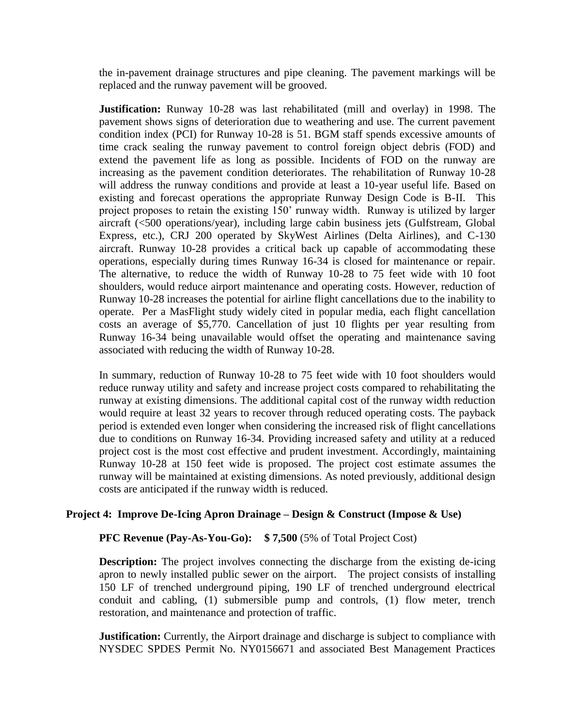the in-pavement drainage structures and pipe cleaning. The pavement markings will be replaced and the runway pavement will be grooved.

**Justification:** Runway 10-28 was last rehabilitated (mill and overlay) in 1998. The pavement shows signs of deterioration due to weathering and use. The current pavement condition index (PCI) for Runway 10-28 is 51. BGM staff spends excessive amounts of time crack sealing the runway pavement to control foreign object debris (FOD) and extend the pavement life as long as possible. Incidents of FOD on the runway are increasing as the pavement condition deteriorates. The rehabilitation of Runway 10-28 will address the runway conditions and provide at least a 10-year useful life. Based on existing and forecast operations the appropriate Runway Design Code is B-II. This project proposes to retain the existing 150' runway width. Runway is utilized by larger aircraft (<500 operations/year), including large cabin business jets (Gulfstream, Global Express, etc.), CRJ 200 operated by SkyWest Airlines (Delta Airlines), and C-130 aircraft. Runway 10-28 provides a critical back up capable of accommodating these operations, especially during times Runway 16-34 is closed for maintenance or repair. The alternative, to reduce the width of Runway 10-28 to 75 feet wide with 10 foot shoulders, would reduce airport maintenance and operating costs. However, reduction of Runway 10-28 increases the potential for airline flight cancellations due to the inability to operate. Per a MasFlight study widely cited in popular media, each flight cancellation costs an average of \$5,770. Cancellation of just 10 flights per year resulting from Runway 16-34 being unavailable would offset the operating and maintenance saving associated with reducing the width of Runway 10-28.

In summary, reduction of Runway 10-28 to 75 feet wide with 10 foot shoulders would reduce runway utility and safety and increase project costs compared to rehabilitating the runway at existing dimensions. The additional capital cost of the runway width reduction would require at least 32 years to recover through reduced operating costs. The payback period is extended even longer when considering the increased risk of flight cancellations due to conditions on Runway 16-34. Providing increased safety and utility at a reduced project cost is the most cost effective and prudent investment. Accordingly, maintaining Runway 10-28 at 150 feet wide is proposed. The project cost estimate assumes the runway will be maintained at existing dimensions. As noted previously, additional design costs are anticipated if the runway width is reduced.

### **Project 4: Improve De-Icing Apron Drainage – Design & Construct (Impose & Use)**

#### **PFC Revenue (Pay-As-You-Go): \$ 7,500** (5% of Total Project Cost)

**Description:** The project involves connecting the discharge from the existing de-icing apron to newly installed public sewer on the airport. The project consists of installing 150 LF of trenched underground piping, 190 LF of trenched underground electrical conduit and cabling, (1) submersible pump and controls, (1) flow meter, trench restoration, and maintenance and protection of traffic.

**Justification:** Currently, the Airport drainage and discharge is subject to compliance with NYSDEC SPDES Permit No. NY0156671 and associated Best Management Practices